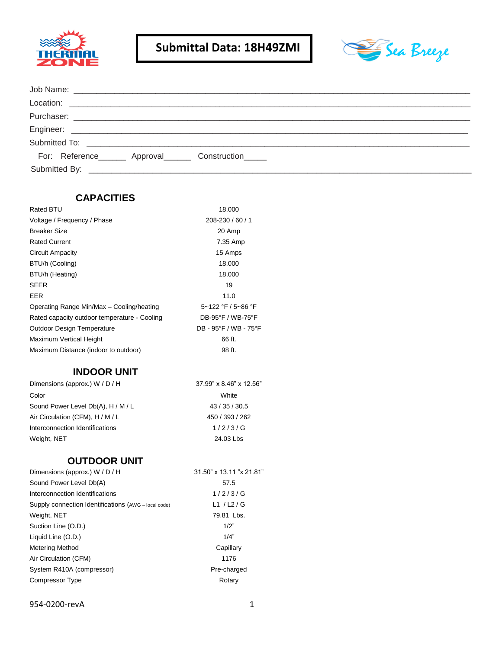



| For: Reference________ Approval________ Construction______ |  |  |
|------------------------------------------------------------|--|--|
|                                                            |  |  |

### **CAPACITIES**

| Rated BTU                                    | 18,000                |
|----------------------------------------------|-----------------------|
| Voltage / Frequency / Phase                  | 208-230 / 60 / 1      |
| <b>Breaker Size</b>                          | 20 Amp                |
| <b>Rated Current</b>                         | 7.35 Amp              |
| Circuit Ampacity                             | 15 Amps               |
| BTU/h (Cooling)                              | 18,000                |
| BTU/h (Heating)                              | 18,000                |
| <b>SEER</b>                                  | 19                    |
| <b>EER</b>                                   | 11.0                  |
| Operating Range Min/Max - Cooling/heating    | 5~122 °F / 5~86 °F    |
| Rated capacity outdoor temperature - Cooling | DB-95°F / WB-75°F     |
| <b>Outdoor Design Temperature</b>            | DB - 95°F / WB - 75°F |
| Maximum Vertical Height                      | 66 ft.                |
| Maximum Distance (indoor to outdoor)         | 98 ft.                |

# **INDOOR UNIT**

| Dimensions (approx.) W / D / H     | 37.99" x 8.46" x 12.56" |  |
|------------------------------------|-------------------------|--|
| Color                              | White                   |  |
| Sound Power Level Db(A), H / M / L | 43 / 35 / 30.5          |  |
| Air Circulation (CFM), H / M / L   | 450 / 393 / 262         |  |
| Interconnection Identifications    | 1/2/3/G                 |  |
| Weight, NET                        | 24.03 Lbs               |  |

# **OUTDOOR UNIT**

| Dimensions (approx.) W / D / H                       | 31.50" x 13.11 "x 21.81" |
|------------------------------------------------------|--------------------------|
| Sound Power Level Db(A)                              | 57.5                     |
| Interconnection Identifications                      | 1/2/3/G                  |
| Supply connection Identifications (AWG - local code) | L1 $/L2/G$               |
| Weight, NET                                          | 79.81 Lbs.               |
| Suction Line (O.D.)                                  | 1/2"                     |
| Liquid Line (O.D.)                                   | 1/4"                     |
| Metering Method                                      | Capillary                |
| Air Circulation (CFM)                                | 1176                     |
| System R410A (compressor)                            | Pre-charged              |
| <b>Compressor Type</b>                               | Rotary                   |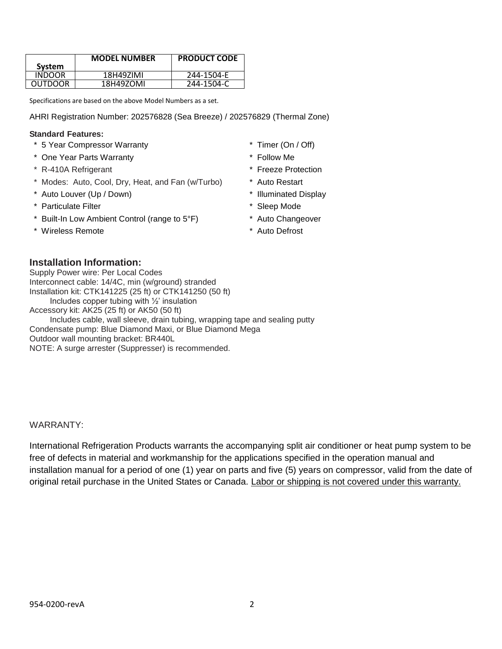|                | <b>MODEL NUMBER</b> | <b>PRODUCT CODE</b> |
|----------------|---------------------|---------------------|
| System         |                     |                     |
| INDOOR         | 18H49ZIMI           | 244-1504-E          |
| <b>OUTDOOR</b> | 18H49ZOMI           | 244-1504-C          |

Specifications are based on the above Model Numbers as a set.

AHRI Registration Number: 202576828 (Sea Breeze) / 202576829 (Thermal Zone)

Includes cable, wall sleeve, drain tubing, wrapping tape and sealing putty

#### **Standard Features:**

- \* 5 Year Compressor Warranty \* Timer (On / Off)
- \* One Year Parts Warranty \* Follow Me
- \* R-410A Refrigerant \* Freeze Protection
- \* Modes: Auto, Cool, Dry, Heat, and Fan (w/Turbo) \* Auto Restart
- \* Auto Louver (Up / Down) \* Illuminated Display

**Installation Information:** Supply Power wire: Per Local Codes

- \* Particulate Filter \* Sleep Mode
- \* Built-In Low Ambient Control (range to 5°F) \* Auto Changeover

Interconnect cable: 14/4C, min (w/ground) stranded Installation kit: CTK141225 (25 ft) or CTK141250 (50 ft) Includes copper tubing with ½' insulation

Condensate pump: Blue Diamond Maxi, or Blue Diamond Mega

NOTE: A surge arrester (Suppresser) is recommended.

Accessory kit: AK25 (25 ft) or AK50 (50 ft)

Outdoor wall mounting bracket: BR440L

\* Wireless Remote \* \* Auto Defrost

- 
- 
- 
- 
- 
- 
- 
- 

# WARRANTY:

International Refrigeration Products warrants the accompanying split air conditioner or heat pump system to be free of defects in material and workmanship for the applications specified in the operation manual and installation manual for a period of one (1) year on parts and five (5) years on compressor, valid from the date of original retail purchase in the United States or Canada. Labor or shipping is not covered under this warranty.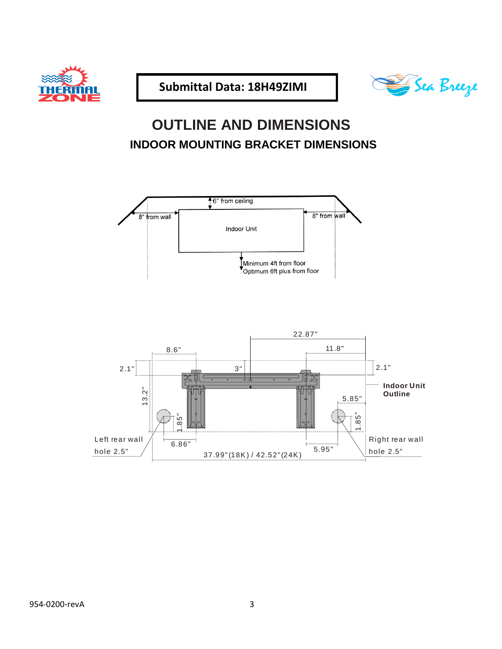



# **OUTLINE AND DIMENSIONS INDOOR MOUNTING BRACKET DIMENSIONS**